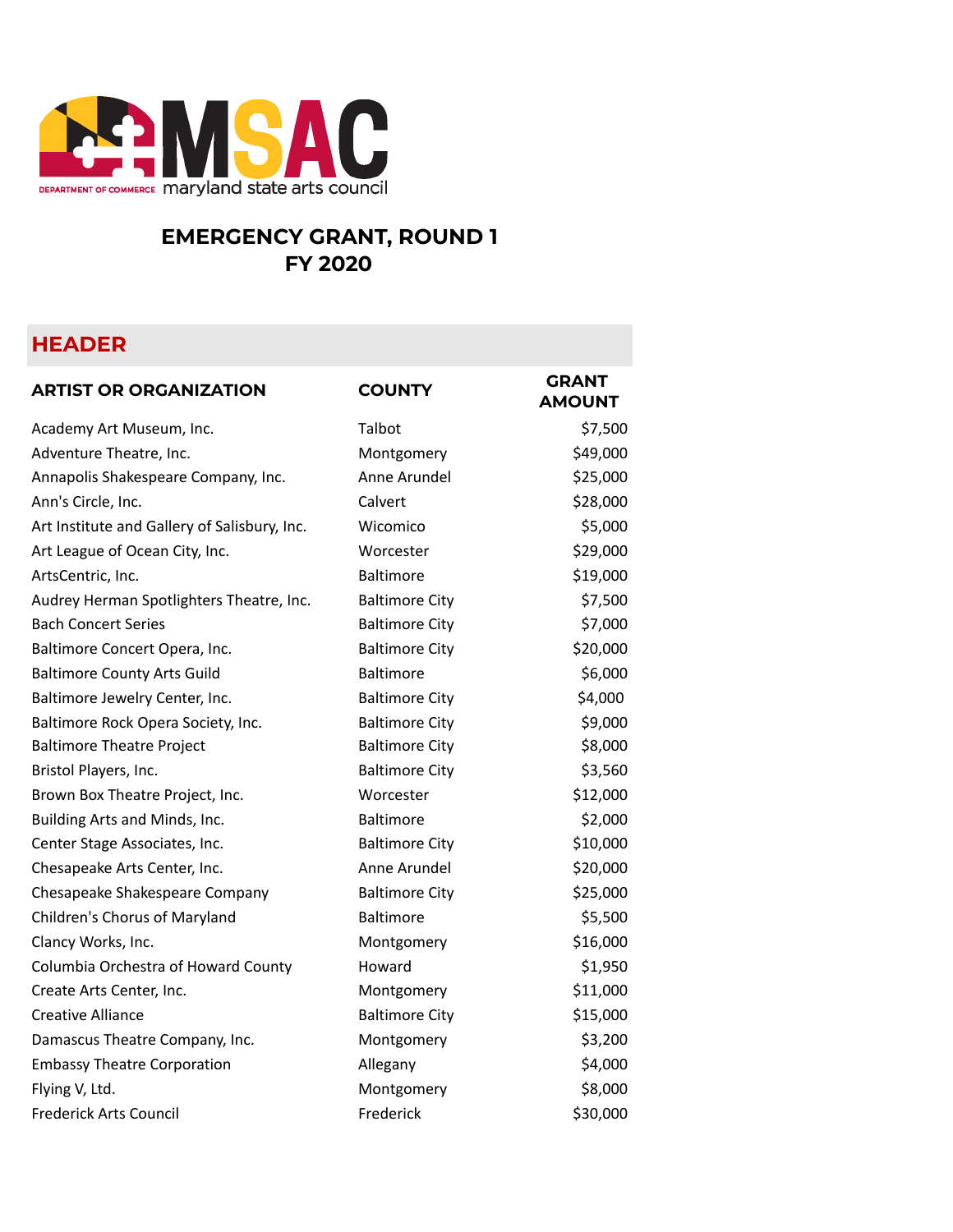

## **EMERGENCY GRANT, ROUND 1 FY 2020**

## **HEADER**

| <b>ARTIST OR ORGANIZATION</b>                | <b>COUNTY</b>         | <b>GRANT</b><br><b>AMOUNT</b> |
|----------------------------------------------|-----------------------|-------------------------------|
| Academy Art Museum, Inc.                     | Talbot                | \$7,500                       |
| Adventure Theatre, Inc.                      | Montgomery            | \$49,000                      |
| Annapolis Shakespeare Company, Inc.          | Anne Arundel          | \$25,000                      |
| Ann's Circle, Inc.                           | Calvert               | \$28,000                      |
| Art Institute and Gallery of Salisbury, Inc. | Wicomico              | \$5,000                       |
| Art League of Ocean City, Inc.               | Worcester             | \$29,000                      |
| ArtsCentric, Inc.                            | Baltimore             | \$19,000                      |
| Audrey Herman Spotlighters Theatre, Inc.     | <b>Baltimore City</b> | \$7,500                       |
| <b>Bach Concert Series</b>                   | <b>Baltimore City</b> | \$7,000                       |
| Baltimore Concert Opera, Inc.                | <b>Baltimore City</b> | \$20,000                      |
| <b>Baltimore County Arts Guild</b>           | Baltimore             | \$6,000                       |
| Baltimore Jewelry Center, Inc.               | <b>Baltimore City</b> | \$4,000                       |
| Baltimore Rock Opera Society, Inc.           | <b>Baltimore City</b> | \$9,000                       |
| <b>Baltimore Theatre Project</b>             | <b>Baltimore City</b> | \$8,000                       |
| Bristol Players, Inc.                        | <b>Baltimore City</b> | \$3,560                       |
| Brown Box Theatre Project, Inc.              | Worcester             | \$12,000                      |
| Building Arts and Minds, Inc.                | Baltimore             | \$2,000                       |
| Center Stage Associates, Inc.                | <b>Baltimore City</b> | \$10,000                      |
| Chesapeake Arts Center, Inc.                 | Anne Arundel          | \$20,000                      |
| Chesapeake Shakespeare Company               | <b>Baltimore City</b> | \$25,000                      |
| Children's Chorus of Maryland                | Baltimore             | \$5,500                       |
| Clancy Works, Inc.                           | Montgomery            | \$16,000                      |
| Columbia Orchestra of Howard County          | Howard                | \$1,950                       |
| Create Arts Center, Inc.                     | Montgomery            | \$11,000                      |
| <b>Creative Alliance</b>                     | <b>Baltimore City</b> | \$15,000                      |
| Damascus Theatre Company, Inc.               | Montgomery            | \$3,200                       |
| <b>Embassy Theatre Corporation</b>           | Allegany              | \$4,000                       |
| Flying V, Ltd.                               | Montgomery            | \$8,000                       |
| <b>Frederick Arts Council</b>                | Frederick             | \$30,000                      |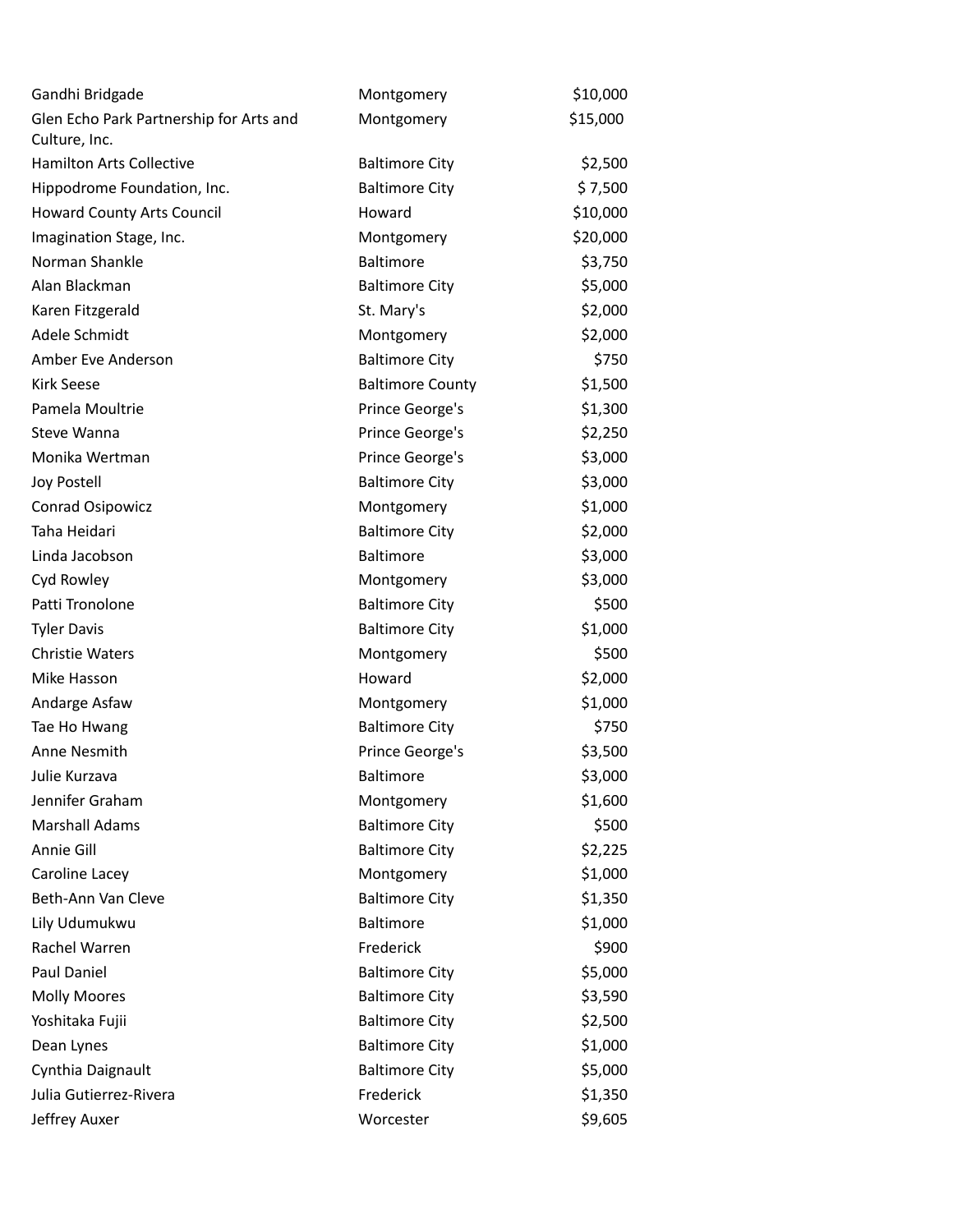| Gandhi Bridgade                                          | Montgomery              | \$10,000 |
|----------------------------------------------------------|-------------------------|----------|
| Glen Echo Park Partnership for Arts and<br>Culture, Inc. | Montgomery              | \$15,000 |
| <b>Hamilton Arts Collective</b>                          | <b>Baltimore City</b>   | \$2,500  |
| Hippodrome Foundation, Inc.                              | <b>Baltimore City</b>   | \$7,500  |
| <b>Howard County Arts Council</b>                        | Howard                  | \$10,000 |
| Imagination Stage, Inc.                                  | Montgomery              | \$20,000 |
| Norman Shankle                                           | Baltimore               | \$3,750  |
| Alan Blackman                                            | <b>Baltimore City</b>   | \$5,000  |
| Karen Fitzgerald                                         | St. Mary's              | \$2,000  |
| Adele Schmidt                                            | Montgomery              | \$2,000  |
| Amber Eve Anderson                                       | <b>Baltimore City</b>   | \$750    |
| <b>Kirk Seese</b>                                        | <b>Baltimore County</b> | \$1,500  |
| Pamela Moultrie                                          | Prince George's         | \$1,300  |
| Steve Wanna                                              | Prince George's         | \$2,250  |
| Monika Wertman                                           | Prince George's         | \$3,000  |
| Joy Postell                                              | <b>Baltimore City</b>   | \$3,000  |
| Conrad Osipowicz                                         | Montgomery              | \$1,000  |
| Taha Heidari                                             | <b>Baltimore City</b>   | \$2,000  |
| Linda Jacobson                                           | Baltimore               | \$3,000  |
| Cyd Rowley                                               | Montgomery              | \$3,000  |
| Patti Tronolone                                          | <b>Baltimore City</b>   | \$500    |
| <b>Tyler Davis</b>                                       | <b>Baltimore City</b>   | \$1,000  |
| <b>Christie Waters</b>                                   | Montgomery              | \$500    |
| Mike Hasson                                              | Howard                  | \$2,000  |
| Andarge Asfaw                                            | Montgomery              | \$1,000  |
| Tae Ho Hwang                                             | <b>Baltimore City</b>   | \$750    |
| Anne Nesmith                                             | Prince George's         | \$3,500  |
| Julie Kurzava                                            | <b>Baltimore</b>        | \$3,000  |
| Jennifer Graham                                          | Montgomery              | \$1,600  |
| <b>Marshall Adams</b>                                    | <b>Baltimore City</b>   | \$500    |
| Annie Gill                                               | <b>Baltimore City</b>   | \$2,225  |
| Caroline Lacey                                           | Montgomery              | \$1,000  |
| Beth-Ann Van Cleve                                       | <b>Baltimore City</b>   | \$1,350  |
| Lily Udumukwu                                            | Baltimore               | \$1,000  |
| Rachel Warren                                            | Frederick               | \$900    |
| Paul Daniel                                              | <b>Baltimore City</b>   | \$5,000  |
| <b>Molly Moores</b>                                      | <b>Baltimore City</b>   | \$3,590  |
| Yoshitaka Fujii                                          | <b>Baltimore City</b>   | \$2,500  |
| Dean Lynes                                               | <b>Baltimore City</b>   | \$1,000  |
| Cynthia Daignault                                        | <b>Baltimore City</b>   | \$5,000  |
| Julia Gutierrez-Rivera                                   | Frederick               | \$1,350  |
| Jeffrey Auxer                                            | Worcester               | \$9,605  |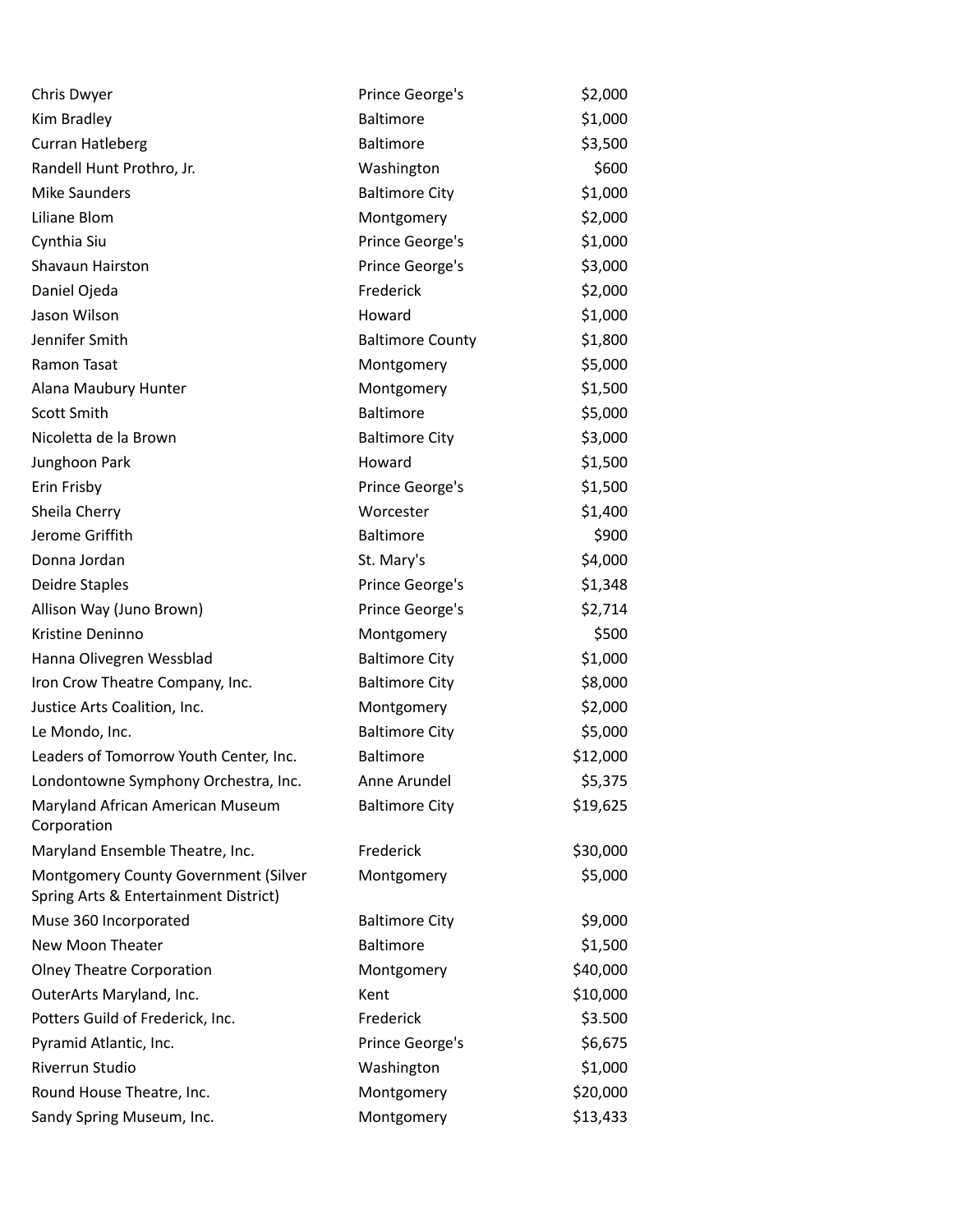| Chris Dwyer                                                                   | Prince George's         | \$2,000  |
|-------------------------------------------------------------------------------|-------------------------|----------|
| Kim Bradley                                                                   | Baltimore               | \$1,000  |
| Curran Hatleberg                                                              | Baltimore               | \$3,500  |
| Randell Hunt Prothro, Jr.                                                     | Washington              | \$600    |
| <b>Mike Saunders</b>                                                          | <b>Baltimore City</b>   | \$1,000  |
| Liliane Blom                                                                  | Montgomery              | \$2,000  |
| Cynthia Siu                                                                   | Prince George's         | \$1,000  |
| Shavaun Hairston                                                              | Prince George's         | \$3,000  |
| Daniel Ojeda                                                                  | Frederick               | \$2,000  |
| Jason Wilson                                                                  | Howard                  | \$1,000  |
| Jennifer Smith                                                                | <b>Baltimore County</b> | \$1,800  |
| Ramon Tasat                                                                   | Montgomery              | \$5,000  |
| Alana Maubury Hunter                                                          | Montgomery              | \$1,500  |
| Scott Smith                                                                   | <b>Baltimore</b>        | \$5,000  |
| Nicoletta de la Brown                                                         | <b>Baltimore City</b>   | \$3,000  |
| Junghoon Park                                                                 | Howard                  | \$1,500  |
| Erin Frisby                                                                   | Prince George's         | \$1,500  |
| Sheila Cherry                                                                 | Worcester               | \$1,400  |
| Jerome Griffith                                                               | Baltimore               | \$900    |
| Donna Jordan                                                                  | St. Mary's              | \$4,000  |
| Deidre Staples                                                                | Prince George's         | \$1,348  |
| Allison Way (Juno Brown)                                                      | Prince George's         | \$2,714  |
| Kristine Deninno                                                              | Montgomery              | \$500    |
| Hanna Olivegren Wessblad                                                      | <b>Baltimore City</b>   | \$1,000  |
| Iron Crow Theatre Company, Inc.                                               | <b>Baltimore City</b>   | \$8,000  |
| Justice Arts Coalition, Inc.                                                  | Montgomery              | \$2,000  |
| Le Mondo, Inc.                                                                | <b>Baltimore City</b>   | \$5,000  |
| Leaders of Tomorrow Youth Center, Inc.                                        | Baltimore               | \$12,000 |
| Londontowne Symphony Orchestra, Inc.                                          | Anne Arundel            | \$5,375  |
| Maryland African American Museum<br>Corporation                               | <b>Baltimore City</b>   | \$19,625 |
| Maryland Ensemble Theatre, Inc.                                               | Frederick               | \$30,000 |
| Montgomery County Government (Silver<br>Spring Arts & Entertainment District) | Montgomery              | \$5,000  |
| Muse 360 Incorporated                                                         | <b>Baltimore City</b>   | \$9,000  |
| New Moon Theater                                                              | Baltimore               | \$1,500  |
| <b>Olney Theatre Corporation</b>                                              | Montgomery              | \$40,000 |
| OuterArts Maryland, Inc.                                                      | Kent                    | \$10,000 |
| Potters Guild of Frederick, Inc.                                              | Frederick               | \$3.500  |
| Pyramid Atlantic, Inc.                                                        | Prince George's         | \$6,675  |
| Riverrun Studio                                                               | Washington              | \$1,000  |
| Round House Theatre, Inc.                                                     | Montgomery              | \$20,000 |
| Sandy Spring Museum, Inc.                                                     | Montgomery              | \$13,433 |